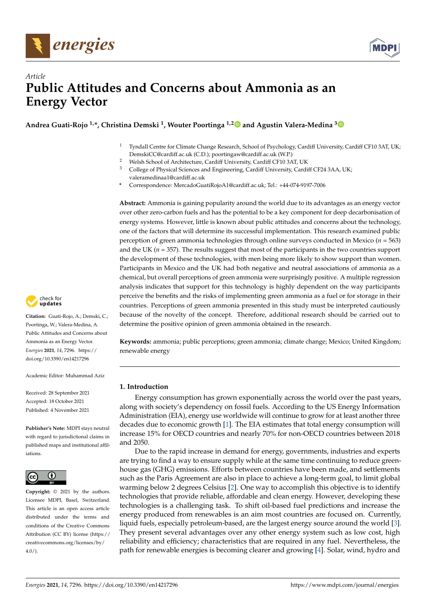



# *Article* **Public Attitudes and Concerns about Ammonia as an Energy Vector**

**Andrea Guati-Rojo 1,\*, Christina Demski <sup>1</sup> , Wouter Poortinga 1,[2](https://orcid.org/0000-0002-6926-8545) and Agustin Valera-Medina [3](https://orcid.org/0000-0003-1580-7133)**

- <sup>1</sup> Tyndall Centre for Climate Change Research, School of Psychology, Cardiff University, Cardiff CF10 3AT, UK; DemskiCC@cardiff.ac.uk (C.D.); poortingaw@cardiff.ac.uk (W.P.)
- <sup>2</sup> Welsh School of Architecture, Cardiff University, Cardiff CF10 3AT, UK<br><sup>3</sup> Colloge of Physical Sciences and Engineering, Cardiff University, Cardi
- <sup>3</sup> College of Physical Sciences and Engineering, Cardiff University, Cardiff CF24 3AA, UK; valeramedinaa1@cardiff.ac.uk
- **\*** Correspondence: MercadoGuatiRojoA1@cardiff.ac.uk; Tel.: +44-074-9197-7006

**Abstract:** Ammonia is gaining popularity around the world due to its advantages as an energy vector over other zero-carbon fuels and has the potential to be a key component for deep decarbonisation of energy systems. However, little is known about public attitudes and concerns about the technology, one of the factors that will determine its successful implementation. This research examined public perception of green ammonia technologies through online surveys conducted in Mexico (*n* = 563) and the UK ( $n = 357$ ). The results suggest that most of the participants in the two countries support the development of these technologies, with men being more likely to show support than women. Participants in Mexico and the UK had both negative and neutral associations of ammonia as a chemical, but overall perceptions of green ammonia were surprisingly positive. A multiple regression analysis indicates that support for this technology is highly dependent on the way participants perceive the benefits and the risks of implementing green ammonia as a fuel or for storage in their countries. Perceptions of green ammonia presented in this study must be interpreted cautiously because of the novelty of the concept. Therefore, additional research should be carried out to determine the positive opinion of green ammonia obtained in the research.

**Keywords:** ammonia; public perceptions; green ammonia; climate change; Mexico; United Kingdom; renewable energy

# **1. Introduction**

Energy consumption has grown exponentially across the world over the past years, along with society's dependency on fossil fuels. According to the US Energy Information Administration (EIA), energy use worldwide will continue to grow for at least another three decades due to economic growth [\[1\]](#page-12-0). The EIA estimates that total energy consumption will increase 15% for OECD countries and nearly 70% for non-OECD countries between 2018 and 2050.

Due to the rapid increase in demand for energy, governments, industries and experts are trying to find a way to ensure supply while at the same time continuing to reduce greenhouse gas (GHG) emissions. Efforts between countries have been made, and settlements such as the Paris Agreement are also in place to achieve a long-term goal, to limit global warming below 2 degrees Celsius [\[2\]](#page-12-1). One way to accomplish this objective is to identify technologies that provide reliable, affordable and clean energy. However, developing these technologies is a challenging task. To shift oil-based fuel predictions and increase the energy produced from renewables is an aim most countries are focused on. Currently, liquid fuels, especially petroleum-based, are the largest energy source around the world [\[3\]](#page-12-2). They present several advantages over any other energy system such as low cost, high reliability and efficiency; characteristics that are required in any fuel. Nevertheless, the path for renewable energies is becoming clearer and growing [\[4\]](#page-12-3). Solar, wind, hydro and



**Citation:** Guati-Rojo, A.; Demski, C.; Poortinga, W.; Valera-Medina, A. Public Attitudes and Concerns about Ammonia as an Energy Vector. *Energies* **2021**, *14*, 7296. [https://](https://doi.org/10.3390/en14217296) [doi.org/10.3390/en14217296](https://doi.org/10.3390/en14217296)

Academic Editor: Muhammad Aziz

Received: 28 September 2021 Accepted: 18 October 2021 Published: 4 November 2021

**Publisher's Note:** MDPI stays neutral with regard to jurisdictional claims in published maps and institutional affiliations.



**Copyright:** © 2021 by the authors. Licensee MDPI, Basel, Switzerland. This article is an open access article distributed under the terms and conditions of the Creative Commons Attribution (CC BY) license (https:/[/](https://creativecommons.org/licenses/by/4.0/) [creativecommons.org/licenses/by/](https://creativecommons.org/licenses/by/4.0/)  $4.0/$ ).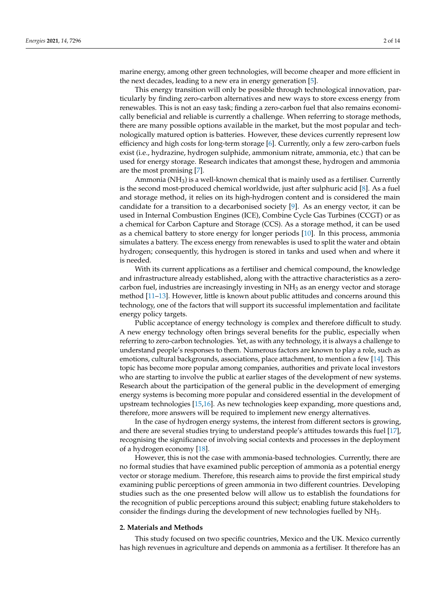marine energy, among other green technologies, will become cheaper and more efficient in the next decades, leading to a new era in energy generation [\[5\]](#page-12-4).

This energy transition will only be possible through technological innovation, particularly by finding zero-carbon alternatives and new ways to store excess energy from renewables. This is not an easy task; finding a zero-carbon fuel that also remains economically beneficial and reliable is currently a challenge. When referring to storage methods, there are many possible options available in the market, but the most popular and technologically matured option is batteries. However, these devices currently represent low efficiency and high costs for long-term storage [\[6\]](#page-12-5). Currently, only a few zero-carbon fuels exist (i.e., hydrazine, hydrogen sulphide, ammonium nitrate, ammonia, etc.) that can be used for energy storage. Research indicates that amongst these, hydrogen and ammonia are the most promising [\[7\]](#page-12-6).

Ammonia ( $NH<sub>3</sub>$ ) is a well-known chemical that is mainly used as a fertiliser. Currently is the second most-produced chemical worldwide, just after sulphuric acid [\[8\]](#page-12-7). As a fuel and storage method, it relies on its high-hydrogen content and is considered the main candidate for a transition to a decarbonised society [\[9\]](#page-12-8). As an energy vector, it can be used in Internal Combustion Engines (ICE), Combine Cycle Gas Turbines (CCGT) or as a chemical for Carbon Capture and Storage (CCS). As a storage method, it can be used as a chemical battery to store energy for longer periods [\[10\]](#page-12-9). In this process, ammonia simulates a battery. The excess energy from renewables is used to split the water and obtain hydrogen; consequently, this hydrogen is stored in tanks and used when and where it is needed.

With its current applications as a fertiliser and chemical compound, the knowledge and infrastructure already established, along with the attractive characteristics as a zerocarbon fuel, industries are increasingly investing in  $NH<sub>3</sub>$  as an energy vector and storage method [\[11–](#page-13-0)[13\]](#page-13-1). However, little is known about public attitudes and concerns around this technology, one of the factors that will support its successful implementation and facilitate energy policy targets.

Public acceptance of energy technology is complex and therefore difficult to study. A new energy technology often brings several benefits for the public, especially when referring to zero-carbon technologies. Yet, as with any technology, it is always a challenge to understand people's responses to them. Numerous factors are known to play a role, such as emotions, cultural backgrounds, associations, place attachment, to mention a few [\[14\]](#page-13-2). This topic has become more popular among companies, authorities and private local investors who are starting to involve the public at earlier stages of the development of new systems. Research about the participation of the general public in the development of emerging energy systems is becoming more popular and considered essential in the development of upstream technologies [\[15,](#page-13-3)[16\]](#page-13-4). As new technologies keep expanding, more questions and, therefore, more answers will be required to implement new energy alternatives.

In the case of hydrogen energy systems, the interest from different sectors is growing, and there are several studies trying to understand people's attitudes towards this fuel [\[17\]](#page-13-5), recognising the significance of involving social contexts and processes in the deployment of a hydrogen economy [\[18\]](#page-13-6).

However, this is not the case with ammonia-based technologies. Currently, there are no formal studies that have examined public perception of ammonia as a potential energy vector or storage medium. Therefore, this research aims to provide the first empirical study examining public perceptions of green ammonia in two different countries. Developing studies such as the one presented below will allow us to establish the foundations for the recognition of public perceptions around this subject; enabling future stakeholders to consider the findings during the development of new technologies fuelled by NH3.

# **2. Materials and Methods**

This study focused on two specific countries, Mexico and the UK. Mexico currently has high revenues in agriculture and depends on ammonia as a fertiliser. It therefore has an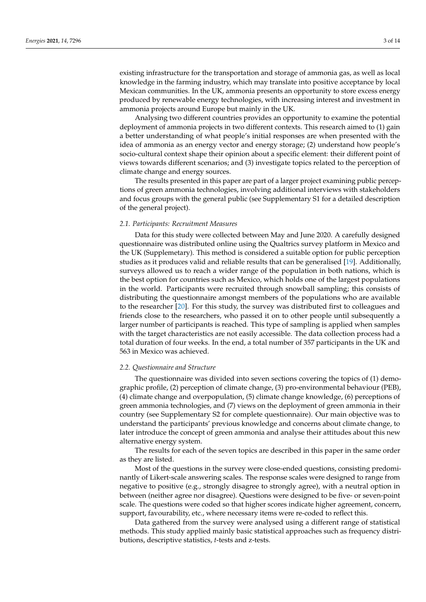existing infrastructure for the transportation and storage of ammonia gas, as well as local knowledge in the farming industry, which may translate into positive acceptance by local Mexican communities. In the UK, ammonia presents an opportunity to store excess energy produced by renewable energy technologies, with increasing interest and investment in ammonia projects around Europe but mainly in the UK.

Analysing two different countries provides an opportunity to examine the potential deployment of ammonia projects in two different contexts. This research aimed to (1) gain a better understanding of what people's initial responses are when presented with the idea of ammonia as an energy vector and energy storage; (2) understand how people's socio-cultural context shape their opinion about a specific element: their different point of views towards different scenarios; and (3) investigate topics related to the perception of climate change and energy sources.

The results presented in this paper are part of a larger project examining public perceptions of green ammonia technologies, involving additional interviews with stakeholders and focus groups with the general public (see Supplementary S1 for a detailed description of the general project).

#### *2.1. Participants: Recruitment Measures*

Data for this study were collected between May and June 2020. A carefully designed questionnaire was distributed online using the Qualtrics survey platform in Mexico and the UK (Supplemetary). This method is considered a suitable option for public perception studies as it produces valid and reliable results that can be generalised [\[19\]](#page-13-7). Additionally, surveys allowed us to reach a wider range of the population in both nations, which is the best option for countries such as Mexico, which holds one of the largest populations in the world. Participants were recruited through snowball sampling; this consists of distributing the questionnaire amongst members of the populations who are available to the researcher [\[20\]](#page-13-8). For this study, the survey was distributed first to colleagues and friends close to the researchers, who passed it on to other people until subsequently a larger number of participants is reached. This type of sampling is applied when samples with the target characteristics are not easily accessible. The data collection process had a total duration of four weeks. In the end, a total number of 357 participants in the UK and 563 in Mexico was achieved.

## *2.2. Questionnaire and Structure*

The questionnaire was divided into seven sections covering the topics of (1) demographic profile, (2) perception of climate change, (3) pro-environmental behaviour (PEB), (4) climate change and overpopulation, (5) climate change knowledge, (6) perceptions of green ammonia technologies, and (7) views on the deployment of green ammonia in their country (see Supplementary S2 for complete questionnaire). Our main objective was to understand the participants' previous knowledge and concerns about climate change, to later introduce the concept of green ammonia and analyse their attitudes about this new alternative energy system.

The results for each of the seven topics are described in this paper in the same order as they are listed.

Most of the questions in the survey were close-ended questions, consisting predominantly of Likert-scale answering scales. The response scales were designed to range from negative to positive (e.g., strongly disagree to strongly agree), with a neutral option in between (neither agree nor disagree). Questions were designed to be five- or seven-point scale. The questions were coded so that higher scores indicate higher agreement, concern, support, favourability, etc., where necessary items were re-coded to reflect this.

Data gathered from the survey were analysed using a different range of statistical methods. This study applied mainly basic statistical approaches such as frequency distributions, descriptive statistics, *t*-tests and z-tests.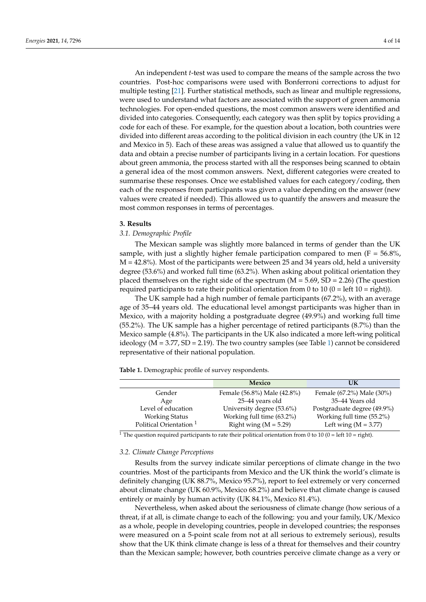An independent *t*-test was used to compare the means of the sample across the two countries. Post-hoc comparisons were used with Bonferroni corrections to adjust for multiple testing [\[21\]](#page-13-9). Further statistical methods, such as linear and multiple regressions, were used to understand what factors are associated with the support of green ammonia technologies. For open-ended questions, the most common answers were identified and divided into categories. Consequently, each category was then split by topics providing a code for each of these. For example, for the question about a location, both countries were divided into different areas according to the political division in each country (the UK in 12 and Mexico in 5). Each of these areas was assigned a value that allowed us to quantify the data and obtain a precise number of participants living in a certain location. For questions about green ammonia, the process started with all the responses being scanned to obtain a general idea of the most common answers. Next, different categories were created to summarise these responses. Once we established values for each category/coding, then each of the responses from participants was given a value depending on the answer (new values were created if needed). This allowed us to quantify the answers and measure the most common responses in terms of percentages.

#### **3. Results**

## *3.1. Demographic Profile*

The Mexican sample was slightly more balanced in terms of gender than the UK sample, with just a slightly higher female participation compared to men ( $F = 56.8\%$ ,  $M = 42.8\%$ ). Most of the participants were between 25 and 34 years old, held a university degree (53.6%) and worked full time (63.2%). When asking about political orientation they placed themselves on the right side of the spectrum  $(M = 5.69, SD = 2.26)$  (The question required participants to rate their political orientation from 0 to 10 ( $0 =$  left 10 = right)).

The UK sample had a high number of female participants (67.2%), with an average age of 35–44 years old. The educational level amongst participants was higher than in Mexico, with a majority holding a postgraduate degree (49.9%) and working full time (55.2%). The UK sample has a higher percentage of retired participants (8.7%) than the Mexico sample (4.8%). The participants in the UK also indicated a more left-wing political ideology ( $M = 3.77$ ,  $SD = 2.19$ ). The two country samples (see Table [1\)](#page-3-0) cannot be considered representative of their national population.

<span id="page-3-0"></span>**Table 1.** Demographic profile of survey respondents.

|                                    | Mexico                      | UK                          |
|------------------------------------|-----------------------------|-----------------------------|
| Gender                             | Female (56.8%) Male (42.8%) | Female (67.2%) Male (30%)   |
| Age                                | 25–44 years old             | 35–44 Years old             |
| Level of education                 | University degree (53.6%)   | Postgraduate degree (49.9%) |
| <b>Working Status</b>              | Working full time (63.2%)   | Working full time (55.2%)   |
| Political Orientation <sup>1</sup> | Right wing $(M = 5.29)$     | Left wing $(M = 3.77)$      |

<sup>1</sup> The question required participants to rate their political orientation from 0 to 10 (0 = left 10 = right).

#### *3.2. Climate Change Perceptions*

Results from the survey indicate similar perceptions of climate change in the two countries. Most of the participants from Mexico and the UK think the world's climate is definitely changing (UK 88.7%, Mexico 95.7%), report to feel extremely or very concerned about climate change (UK 60.9%, Mexico 68.2%) and believe that climate change is caused entirely or mainly by human activity (UK 84.1%, Mexico 81.4%).

Nevertheless, when asked about the seriousness of climate change (how serious of a threat, if at all, is climate change to each of the following: you and your family, UK/Mexico as a whole, people in developing countries, people in developed countries; the responses were measured on a 5-point scale from not at all serious to extremely serious), results show that the UK think climate change is less of a threat for themselves and their country than the Mexican sample; however, both countries perceive climate change as a very or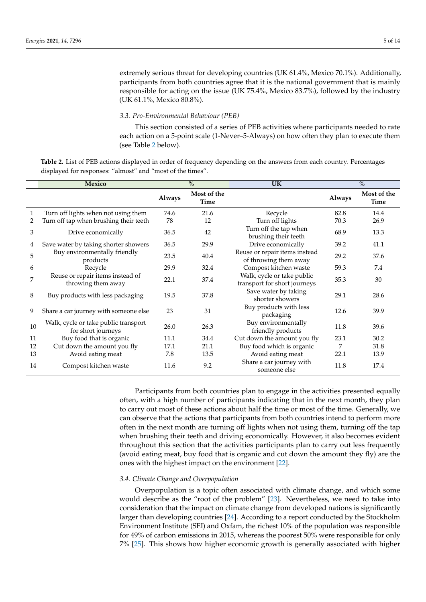extremely serious threat for developing countries (UK 61.4%, Mexico 70.1%). Additionally, participants from both countries agree that it is the national government that is mainly responsible for acting on the issue (UK 75.4%, Mexico 83.7%), followed by the industry (UK 61.1%, Mexico 80.8%).

#### *3.3. Pro-Environmental Behaviour (PEB)*

This section consisted of a series of PEB activities where participants needed to rate each action on a 5-point scale (1-Never–5-Always) on how often they plan to execute them (see Table [2](#page-4-0) below).

<span id="page-4-0"></span>**Table 2.** List of PEB actions displayed in order of frequency depending on the answers from each country. Percentages displayed for responses: "almost" and "most of the times".

|    | Mexico                                                     |        | $\frac{0}{0}$       | <b>UK</b>                                                  |        | $\frac{0}{0}$              |
|----|------------------------------------------------------------|--------|---------------------|------------------------------------------------------------|--------|----------------------------|
|    |                                                            | Always | Most of the<br>Time |                                                            | Always | Most of the<br><b>Time</b> |
| 1  | Turn off lights when not using them                        | 74.6   | 21.6                | Recycle                                                    | 82.8   | 14.4                       |
| 2  | Turn off tap when brushing their teeth                     | 78     | 12                  | Turn off lights                                            | 70.3   | 26.9                       |
| 3  | Drive economically                                         | 36.5   | 42                  | Turn off the tap when<br>brushing their teeth              | 68.9   | 13.3                       |
| 4  | Save water by taking shorter showers                       | 36.5   | 29.9                | Drive economically                                         | 39.2   | 41.1                       |
| 5  | Buy environmentally friendly<br>products                   | 23.5   | 40.4                | Reuse or repair items instead<br>of throwing them away     | 29.2   | 37.6                       |
| 6  | Recycle                                                    | 29.9   | 32.4                | Compost kitchen waste                                      | 59.3   | 7.4                        |
| 7  | Reuse or repair items instead of<br>throwing them away     | 22.1   | 37.4                | Walk, cycle or take public<br>transport for short journeys | 35.3   | 30                         |
| 8  | Buy products with less packaging                           | 19.5   | 37.8                | Save water by taking<br>shorter showers                    | 29.1   | 28.6                       |
| 9  | Share a car journey with someone else                      | 23     | 31                  | Buy products with less<br>packaging                        | 12.6   | 39.9                       |
| 10 | Walk, cycle or take public transport<br>for short journeys | 26.0   | 26.3                | Buy environmentally<br>friendly products                   | 11.8   | 39.6                       |
| 11 | Buy food that is organic                                   | 11.1   | 34.4                | Cut down the amount you fly                                | 23.1   | 30.2                       |
| 12 | Cut down the amount you fly                                | 17.1   | 21.1                | Buy food which is organic                                  | 7      | 31.8                       |
| 13 | Avoid eating meat                                          | 7.8    | 13.5                | Avoid eating meat                                          | 22.1   | 13.9                       |
| 14 | Compost kitchen waste                                      | 11.6   | 9.2                 | Share a car journey with<br>someone else                   | 11.8   | 17.4                       |

Participants from both countries plan to engage in the activities presented equally often, with a high number of participants indicating that in the next month, they plan to carry out most of these actions about half the time or most of the time. Generally, we can observe that the actions that participants from both countries intend to perform more often in the next month are turning off lights when not using them, turning off the tap when brushing their teeth and driving economically. However, it also becomes evident throughout this section that the activities participants plan to carry out less frequently (avoid eating meat, buy food that is organic and cut down the amount they fly) are the ones with the highest impact on the environment [\[22\]](#page-13-10).

#### *3.4. Climate Change and Overpopulation*

Overpopulation is a topic often associated with climate change, and which some would describe as the "root of the problem" [\[23\]](#page-13-11). Nevertheless, we need to take into consideration that the impact on climate change from developed nations is significantly larger than developing countries [\[24\]](#page-13-12). According to a report conducted by the Stockholm Environment Institute (SEI) and Oxfam, the richest 10% of the population was responsible for 49% of carbon emissions in 2015, whereas the poorest 50% were responsible for only 7% [\[25\]](#page-13-13). This shows how higher economic growth is generally associated with higher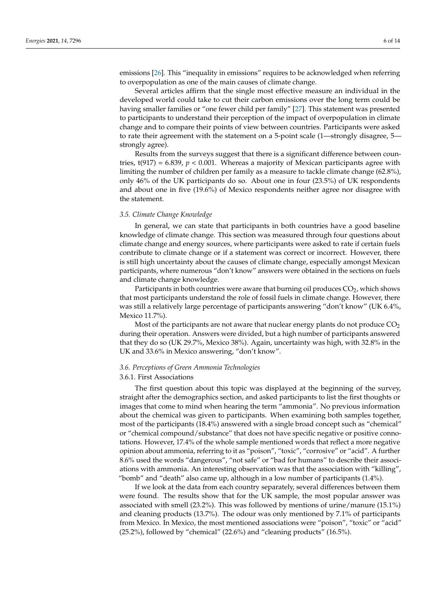emissions [\[26\]](#page-13-14). This "inequality in emissions" requires to be acknowledged when referring to overpopulation as one of the main causes of climate change.

Several articles affirm that the single most effective measure an individual in the developed world could take to cut their carbon emissions over the long term could be having smaller families or "one fewer child per family" [\[27\]](#page-13-15). This statement was presented to participants to understand their perception of the impact of overpopulation in climate change and to compare their points of view between countries. Participants were asked to rate their agreement with the statement on a 5-point scale (1—strongly disagree, 5 strongly agree).

Results from the surveys suggest that there is a significant difference between countries,  $t(917) = 6.839$ ,  $p < 0.001$ . Whereas a majority of Mexican participants agree with limiting the number of children per family as a measure to tackle climate change (62.8%), only 46% of the UK participants do so. About one in four (23.5%) of UK respondents and about one in five (19.6%) of Mexico respondents neither agree nor disagree with the statement.

## *3.5. Climate Change Knowledge*

In general, we can state that participants in both countries have a good baseline knowledge of climate change. This section was measured through four questions about climate change and energy sources, where participants were asked to rate if certain fuels contribute to climate change or if a statement was correct or incorrect. However, there is still high uncertainty about the causes of climate change, especially amongst Mexican participants, where numerous "don't know" answers were obtained in the sections on fuels and climate change knowledge.

Participants in both countries were aware that burning oil produces  $CO<sub>2</sub>$ , which shows that most participants understand the role of fossil fuels in climate change. However, there was still a relatively large percentage of participants answering "don't know" (UK 6.4%, Mexico 11.7%).

Most of the participants are not aware that nuclear energy plants do not produce  $CO<sub>2</sub>$ during their operation. Answers were divided, but a high number of participants answered that they do so (UK 29.7%, Mexico 38%). Again, uncertainty was high, with 32.8% in the UK and 33.6% in Mexico answering, "don't know".

#### *3.6. Perceptions of Green Ammonia Technologies*

#### 3.6.1. First Associations

The first question about this topic was displayed at the beginning of the survey, straight after the demographics section, and asked participants to list the first thoughts or images that come to mind when hearing the term "ammonia". No previous information about the chemical was given to participants. When examining both samples together, most of the participants (18.4%) answered with a single broad concept such as "chemical" or "chemical compound/substance" that does not have specific negative or positive connotations. However, 17.4% of the whole sample mentioned words that reflect a more negative opinion about ammonia, referring to it as "poison", "toxic", "corrosive" or "acid". A further 8.6% used the words "dangerous", "not safe" or "bad for humans" to describe their associations with ammonia. An interesting observation was that the association with "killing", "bomb" and "death" also came up, although in a low number of participants (1.4%).

If we look at the data from each country separately, several differences between them were found. The results show that for the UK sample, the most popular answer was associated with smell (23.2%). This was followed by mentions of urine/manure (15.1%) and cleaning products (13.7%). The odour was only mentioned by 7.1% of participants from Mexico. In Mexico, the most mentioned associations were "poison", "toxic" or "acid" (25.2%), followed by "chemical" (22.6%) and "cleaning products" (16.5%).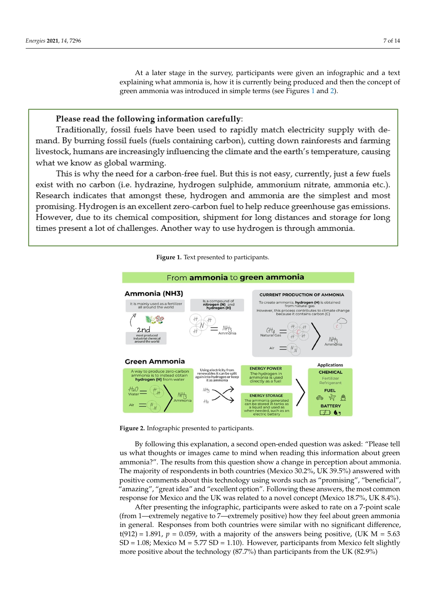At a later stage in the survey, participants were given an infographic and a text explaining what ammonia is, how it is currently being produced and then the concept of explaining what ammonia is, now it is currently being prod[uce](#page-6-0)d a[nd](#page-6-1) then the concept or green ammonia was introduced in simple terms (see Figure[s 1](#page-6-0) and [2](#page-6-1)).

# Please read the following information carefully:

<span id="page-6-0"></span>Traditionally, fossil fuels have been used to rapidly match electricity supply with demand. By burning fossil fuels (fuels containing carbon), cutting down rainforests and farming livestock, humans are increasingly influencing the climate and the earth's temperature, causing what we know as global warming.

This is why the need for a carbon-free fuel. But this is not easy, currently, just a few fuels exist with no carbon (i.e. hydrazine, hydrogen sulphide, ammonium nitrate, ammonia etc.). Research indicates that amongst these, hydrogen and ammonia are the simplest and most promising. Hydrogen is an excellent zero-carbon fuel to help reduce greenhouse gas emissions. However, due to its chemical composition, shipment for long distances and storage for long times present a lot of challenges. Another way to use hydrogen is through ammonia.

<span id="page-6-1"></span>

**Figure 1.** Text presented to participants. **Figure 1.** Text presented to participants. **Figure 1.** Text presented to participants.

**Figure 2.** Infographic presented to participants. **Figure 2. Figure 2.** Infographic presented to participants. Infographic presented to participants.

By following this explanation, a second open-ended question was asked: "Please tell us what thoughts or images came to mind when reading this information about green ammonia?". The results from this question show a change in perception about ammonia. The majority of respondents in both countries (Mexico 30.2%, UK 39.5%) answered with positive comments about this technology using words such as "promising", "beneficial", "amazing", "great idea" and "excellent option". Following these answers, the most common response for Mexico and the UK was related to a novel concept (Mexico 18.7%, UK 8.4%).

After presenting the infographic, participants were asked to rate on a 7-point scale (from 1—extremely negative to 7—extremely positive) how they feel about green ammonia in general. Responses from both countries were similar with no significant difference,  $t(912) = 1.891$ ,  $p = 0.059$ , with a majority of the answers being positive, (UK M = 5.63)  $SD = 1.08$ ; Mexico M = 5.77  $SD = 1.10$ ). However, participants from Mexico felt slightly more positive about the technology (87.7%) than participants from the UK (82.9%)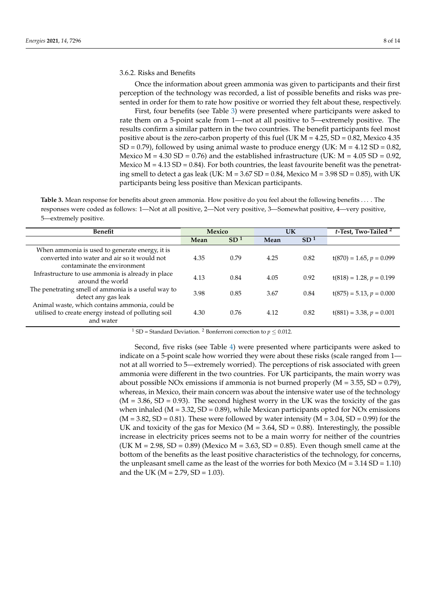### 3.6.2. Risks and Benefits

Once the information about green ammonia was given to participants and their first perception of the technology was recorded, a list of possible benefits and risks was presented in order for them to rate how positive or worried they felt about these, respectively.

First, four benefits (see Table [3\)](#page-7-0) were presented where participants were asked to rate them on a 5-point scale from 1—not at all positive to 5—extremely positive. The results confirm a similar pattern in the two countries. The benefit participants feel most positive about is the zero-carbon property of this fuel (UK  $M = 4.25$ , SD = 0.82, Mexico 4.35  $SD = 0.79$ ), followed by using animal waste to produce energy (UK:  $M = 4.12 SD = 0.82$ , Mexico  $M = 4.30$  SD = 0.76) and the established infrastructure (UK:  $M = 4.05$  SD = 0.92, Mexico  $M = 4.13$  SD = 0.84). For both countries, the least favourite benefit was the penetrating smell to detect a gas leak (UK:  $M = 3.67$  SD = 0.84, Mexico  $M = 3.98$  SD = 0.85), with UK participants being less positive than Mexican participants.

<span id="page-7-0"></span>**Table 3.** Mean response for benefits about green ammonia. How positive do you feel about the following benefits . . . . The responses were coded as follows: 1—Not at all positive, 2—Not very positive, 3—Somewhat positive, 4—very positive, 5—extremely positive.

| Benefit                                                                                                                       | Mexico |                 | UK   |                 | t-Test, Two-Tailed <sup>2</sup> |
|-------------------------------------------------------------------------------------------------------------------------------|--------|-----------------|------|-----------------|---------------------------------|
|                                                                                                                               | Mean   | SD <sup>1</sup> | Mean | SD <sup>1</sup> |                                 |
| When ammonia is used to generate energy, it is<br>converted into water and air so it would not<br>contaminate the environment | 4.35   | 0.79            | 4.25 | 0.82            | $t(870) = 1.65, p = 0.099$      |
| Infrastructure to use ammonia is already in place<br>around the world                                                         | 4.13   | 0.84            | 4.05 | 0.92            | $t(818) = 1.28, p = 0.199$      |
| The penetrating smell of ammonia is a useful way to<br>detect any gas leak                                                    | 3.98   | 0.85            | 3.67 | 0.84            | $t(875) = 5.13, p = 0.000$      |
| Animal waste, which contains ammonia, could be<br>utilised to create energy instead of polluting soil<br>and water            | 4.30   | 0.76            | 4.12 | 0.82            | $t(881) = 3.38, p = 0.001$      |

<sup>1</sup> SD = Standard Deviation.<sup>2</sup> Bonferroni correction to  $p \le 0.012$ .

Second, five risks (see Table [4\)](#page-8-0) were presented where participants were asked to indicate on a 5-point scale how worried they were about these risks (scale ranged from 1 not at all worried to 5—extremely worried). The perceptions of risk associated with green ammonia were different in the two countries. For UK participants, the main worry was about possible NOx emissions if ammonia is not burned properly  $(M = 3.55, SD = 0.79)$ , whereas, in Mexico, their main concern was about the intensive water use of the technology  $(M = 3.86, SD = 0.93)$ . The second highest worry in the UK was the toxicity of the gas when inhaled ( $M = 3.32$ ,  $SD = 0.89$ ), while Mexican participants opted for NOx emissions  $(M = 3.82, SD = 0.81)$ . These were followed by water intensity  $(M = 3.04, SD = 0.99)$  for the UK and toxicity of the gas for Mexico ( $M = 3.64$ , SD = 0.88). Interestingly, the possible increase in electricity prices seems not to be a main worry for neither of the countries (UK  $M = 2.98$ , SD = 0.89) (Mexico  $M = 3.63$ , SD = 0.85). Even though smell came at the bottom of the benefits as the least positive characteristics of the technology, for concerns, the unpleasant smell came as the least of the worries for both Mexico ( $M = 3.14$  SD = 1.10) and the UK ( $M = 2.79$ , SD = 1.03).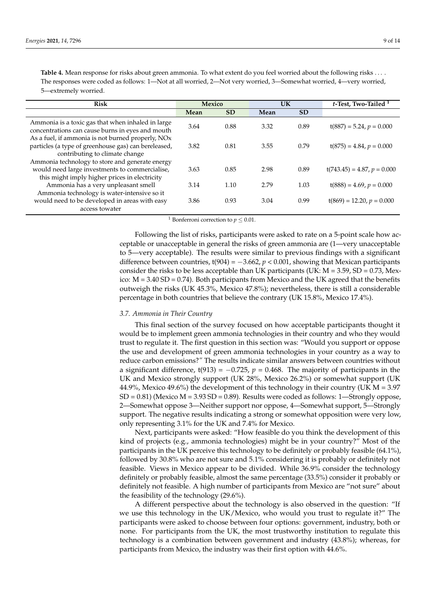<span id="page-8-0"></span>Table 4. Mean response for risks about green ammonia. To what extent do you feel worried about the following risks .... The responses were coded as follows: 1—Not at all worried, 2—Not very worried, 3—Somewhat worried, 4—very worried, 5—extremely worried.

| <b>Risk</b>                                                                                           | Mexico |           | UK   |           | t-Test, Two-Tailed <sup>1</sup> |  |
|-------------------------------------------------------------------------------------------------------|--------|-----------|------|-----------|---------------------------------|--|
|                                                                                                       | Mean   | <b>SD</b> | Mean | <b>SD</b> |                                 |  |
| Ammonia is a toxic gas that when inhaled in large<br>concentrations can cause burns in eyes and mouth | 3.64   | 0.88      | 3.32 | 0.89      | $t(887) = 5.24, p = 0.000$      |  |
| As a fuel, if ammonia is not burned properly, NOx                                                     |        |           |      |           |                                 |  |
| particles (a type of greenhouse gas) can bereleased,                                                  | 3.82   | 0.81      | 3.55 | 0.79      | $t(875) = 4.84, p = 0.000$      |  |
| contributing to climate change                                                                        |        |           |      |           |                                 |  |
| Ammonia technology to store and generate energy                                                       |        |           |      |           |                                 |  |
| would need large investments to commercialise,                                                        | 3.63   | 0.85      | 2.98 | 0.89      | $t(743.45) = 4.87, p = 0.000$   |  |
| this might imply higher prices in electricity                                                         |        |           |      |           |                                 |  |
| Ammonia has a very unpleasant smell                                                                   | 3.14   | 1.10      | 2.79 | 1.03      | $t(888) = 4.69, p = 0.000$      |  |
| Ammonia technology is water-intensive so it                                                           |        |           |      |           |                                 |  |
| would need to be developed in areas with easy                                                         | 3.86   | 0.93      | 3.04 | 0.99      | $t(869) = 12.20, p = 0.000$     |  |
| access towater                                                                                        |        |           |      |           |                                 |  |

<sup>1</sup> Bonferroni correction to  $p \leq 0.01$ .

Following the list of risks, participants were asked to rate on a 5-point scale how acceptable or unacceptable in general the risks of green ammonia are (1—very unacceptable to 5—very acceptable). The results were similar to previous findings with a significant difference between countries,  $t(904) = -3.662$ ,  $p < 0.001$ , showing that Mexican participants consider the risks to be less acceptable than UK participants (UK:  $M = 3.59$ , SD = 0.73, Mexico:  $M = 3.40$  SD = 0.74). Both participants from Mexico and the UK agreed that the benefits outweigh the risks (UK 45.3%, Mexico 47.8%); nevertheless, there is still a considerable percentage in both countries that believe the contrary (UK 15.8%, Mexico 17.4%).

#### *3.7. Ammonia in Their Country*

This final section of the survey focused on how acceptable participants thought it would be to implement green ammonia technologies in their country and who they would trust to regulate it. The first question in this section was: "Would you support or oppose the use and development of green ammonia technologies in your country as a way to reduce carbon emissions?*"* The results indicate similar answers between countries without a significant difference, t(913) =  $-0.725$ ,  $p = 0.468$ . The majority of participants in the UK and Mexico strongly support (UK 28%, Mexico 26.2%) or somewhat support (UK 44.9%, Mexico 49.6%) the development of this technology in their country (UK M = 3.97  $SD = 0.81$ ) (Mexico M = 3.93 SD = 0.89). Results were coded as follows: 1—Strongly oppose, 2—Somewhat oppose 3—Neither support nor oppose, 4—Somewhat support, 5—Strongly support. The negative results indicating a strong or somewhat opposition were very low, only representing 3.1% for the UK and 7.4% for Mexico.

Next, participants were asked: "How feasible do you think the development of this kind of projects (e.g., ammonia technologies) might be in your country?" Most of the participants in the UK perceive this technology to be definitely or probably feasible (64.1%), followed by 30.8% who are not sure and 5.1% considering it is probably or definitely not feasible. Views in Mexico appear to be divided. While 36.9% consider the technology definitely or probably feasible, almost the same percentage (33.5%) consider it probably or definitely not feasible. A high number of participants from Mexico are "not sure" about the feasibility of the technology (29.6%).

A different perspective about the technology is also observed in the question: "If we use this technology in the UK/Mexico, who would you trust to regulate it?" The participants were asked to choose between four options: government, industry, both or none. For participants from the UK, the most trustworthy institution to regulate this technology is a combination between government and industry (43.8%); whereas, for participants from Mexico, the industry was their first option with 44.6%.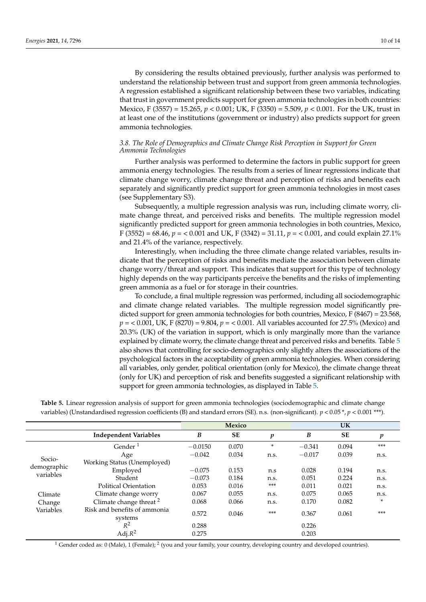By considering the results obtained previously, further analysis was performed to understand the relationship between trust and support from green ammonia technologies. A regression established a significant relationship between these two variables, indicating that trust in government predicts support for green ammonia technologies in both countries: Mexico, F (3557) = 15.265, *p* < 0.001; UK, F (3350) = 5.509, *p* < 0.001. For the UK, trust in at least one of the institutions (government or industry) also predicts support for green ammonia technologies.

# *3.8. The Role of Demographics and Climate Change Risk Perception in Support for Green Ammonia Technologies*

Further analysis was performed to determine the factors in public support for green ammonia energy technologies. The results from a series of linear regressions indicate that climate change worry, climate change threat and perception of risks and benefits each separately and significantly predict support for green ammonia technologies in most cases (see Supplementary S3).

Subsequently, a multiple regression analysis was run, including climate worry, climate change threat, and perceived risks and benefits. The multiple regression model significantly predicted support for green ammonia technologies in both countries, Mexico, F (3552) = 68.46, *p* = < 0.001 and UK, F (3342) = 31.11, *p* = < 0.001, and could explain 27.1% and 21.4% of the variance, respectively.

Interestingly, when including the three climate change related variables, results indicate that the perception of risks and benefits mediate the association between climate change worry/threat and support. This indicates that support for this type of technology highly depends on the way participants perceive the benefits and the risks of implementing green ammonia as a fuel or for storage in their countries.

To conclude, a final multiple regression was performed, including all sociodemographic and climate change related variables. The multiple regression model significantly predicted support for green ammonia technologies for both countries, Mexico, F (8467) = 23.568, *p* = < 0.001, UK, F (8270) = 9.804, *p* = < 0.001. All variables accounted for 27.5% (Mexico) and 20.3% (UK) of the variation in support, which is only marginally more than the variance explained by climate worry, the climate change threat and perceived risks and benefits. Table [5](#page-9-0) also shows that controlling for socio-demographics only slightly alters the associations of the psychological factors in the acceptability of green ammonia technologies. When considering all variables, only gender, political orientation (only for Mexico), the climate change threat (only for UK) and perception of risk and benefits suggested a significant relationship with support for green ammonia technologies, as displayed in Table [5.](#page-9-0)

|                          |                                         | Mexico    |           |        | UK       |           |       |
|--------------------------|-----------------------------------------|-----------|-----------|--------|----------|-----------|-------|
|                          | <b>Independent Variables</b>            | B         | <b>SE</b> | p      | B        | <b>SE</b> | p     |
|                          | Gender $1$                              | $-0.0150$ | 0.070     | $\ast$ | $-0.341$ | 0.094     | ***   |
|                          | Age                                     | $-0.042$  | 0.034     | n.s.   | $-0.017$ | 0.039     | n.s.  |
| Socio-                   | Working Status (Unemployed)             |           |           |        |          |           |       |
| demographic<br>variables | Employed                                | $-0.075$  | 0.153     | n.s    | 0.028    | 0.194     | n.s.  |
|                          | Student                                 | $-0.073$  | 0.184     | n.s.   | 0.051    | 0.224     | n.s.  |
|                          | Political Orientation                   | 0.053     | 0.016     | $***$  | 0.011    | 0.021     | n.s.  |
| Climate                  | Climate change worry                    | 0.067     | 0.055     | n.s.   | 0.075    | 0.065     | n.s.  |
| Change                   | Climate change threat <sup>2</sup>      | 0.068     | 0.066     | n.s.   | 0.170    | 0.082     | *     |
| Variables                | Risk and benefits of ammonia<br>systems | 0.572     | 0.046     | ***    | 0.367    | 0.061     | $***$ |
|                          | $R^2$                                   | 0.288     |           |        | 0.226    |           |       |
|                          | Adj. $R^2$                              | 0.275     |           |        | 0.203    |           |       |

<span id="page-9-0"></span>**Table 5.** Linear regression analysis of support for green ammonia technologies (sociodemographic and climate change variables) (Unstandardised regression coefficients (B) and standard errors (SE). n.s. (non-significant). *p* < 0.05 \*, *p* < 0.001 \*\*\*).

<sup>1</sup> Gender coded as: 0 (Male), 1 (Female); <sup>2</sup> (you and your family, your country, developing country and developed countries).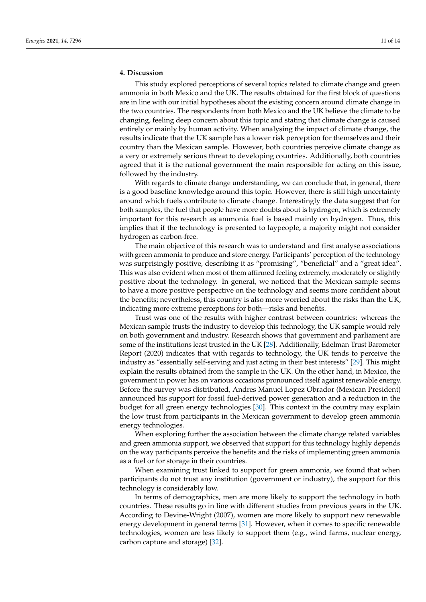# **4. Discussion**

This study explored perceptions of several topics related to climate change and green ammonia in both Mexico and the UK. The results obtained for the first block of questions are in line with our initial hypotheses about the existing concern around climate change in the two countries. The respondents from both Mexico and the UK believe the climate to be changing, feeling deep concern about this topic and stating that climate change is caused entirely or mainly by human activity. When analysing the impact of climate change, the results indicate that the UK sample has a lower risk perception for themselves and their country than the Mexican sample. However, both countries perceive climate change as a very or extremely serious threat to developing countries. Additionally, both countries agreed that it is the national government the main responsible for acting on this issue, followed by the industry.

With regards to climate change understanding, we can conclude that, in general, there is a good baseline knowledge around this topic. However, there is still high uncertainty around which fuels contribute to climate change. Interestingly the data suggest that for both samples, the fuel that people have more doubts about is hydrogen, which is extremely important for this research as ammonia fuel is based mainly on hydrogen. Thus, this implies that if the technology is presented to laypeople, a majority might not consider hydrogen as carbon-free.

The main objective of this research was to understand and first analyse associations with green ammonia to produce and store energy. Participants' perception of the technology was surprisingly positive, describing it as "promising", "beneficial" and a "great idea". This was also evident when most of them affirmed feeling extremely, moderately or slightly positive about the technology. In general, we noticed that the Mexican sample seems to have a more positive perspective on the technology and seems more confident about the benefits; nevertheless, this country is also more worried about the risks than the UK, indicating more extreme perceptions for both—risks and benefits.

Trust was one of the results with higher contrast between countries: whereas the Mexican sample trusts the industry to develop this technology, the UK sample would rely on both government and industry. Research shows that government and parliament are some of the institutions least trusted in the UK [\[28\]](#page-13-16). Additionally, Edelman Trust Barometer Report (2020) indicates that with regards to technology, the UK tends to perceive the industry as "essentially self-serving and just acting in their best interests" [\[29\]](#page-13-17). This might explain the results obtained from the sample in the UK. On the other hand, in Mexico, the government in power has on various occasions pronounced itself against renewable energy. Before the survey was distributed, Andres Manuel Lopez Obrador (Mexican President) announced his support for fossil fuel-derived power generation and a reduction in the budget for all green energy technologies [\[30\]](#page-13-18). This context in the country may explain the low trust from participants in the Mexican government to develop green ammonia energy technologies.

When exploring further the association between the climate change related variables and green ammonia support, we observed that support for this technology highly depends on the way participants perceive the benefits and the risks of implementing green ammonia as a fuel or for storage in their countries.

When examining trust linked to support for green ammonia, we found that when participants do not trust any institution (government or industry), the support for this technology is considerably low.

In terms of demographics, men are more likely to support the technology in both countries. These results go in line with different studies from previous years in the UK. According to Devine-Wright (2007), women are more likely to support new renewable energy development in general terms [\[31\]](#page-13-19). However, when it comes to specific renewable technologies, women are less likely to support them (e.g., wind farms, nuclear energy, carbon capture and storage) [\[32\]](#page-13-20).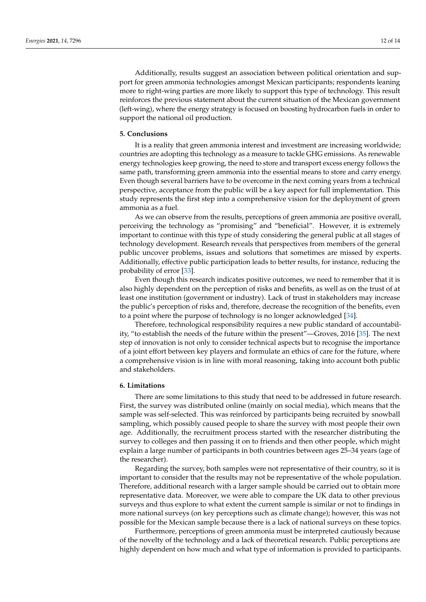Additionally, results suggest an association between political orientation and support for green ammonia technologies amongst Mexican participants; respondents leaning more to right-wing parties are more likely to support this type of technology. This result reinforces the previous statement about the current situation of the Mexican government (left-wing), where the energy strategy is focused on boosting hydrocarbon fuels in order to support the national oil production.

#### **5. Conclusions**

It is a reality that green ammonia interest and investment are increasing worldwide; countries are adopting this technology as a measure to tackle GHG emissions. As renewable energy technologies keep growing, the need to store and transport excess energy follows the same path, transforming green ammonia into the essential means to store and carry energy. Even though several barriers have to be overcome in the next coming years from a technical perspective, acceptance from the public will be a key aspect for full implementation. This study represents the first step into a comprehensive vision for the deployment of green ammonia as a fuel.

As we can observe from the results, perceptions of green ammonia are positive overall, perceiving the technology as "promising" and "beneficial". However, it is extremely important to continue with this type of study considering the general public at all stages of technology development. Research reveals that perspectives from members of the general public uncover problems, issues and solutions that sometimes are missed by experts. Additionally, effective public participation leads to better results, for instance, reducing the probability of error [\[33\]](#page-13-21).

Even though this research indicates positive outcomes, we need to remember that it is also highly dependent on the perception of risks and benefits, as well as on the trust of at least one institution (government or industry). Lack of trust in stakeholders may increase the public's perception of risks and, therefore, decrease the recognition of the benefits, even to a point where the purpose of technology is no longer acknowledged [\[34\]](#page-13-22).

Therefore, technological responsibility requires a new public standard of accountability, "to establish the needs of the future within the present"—Groves, 2016 [\[35\]](#page-13-23). The next step of innovation is not only to consider technical aspects but to recognise the importance of a joint effort between key players and formulate an ethics of care for the future, where a comprehensive vision is in line with moral reasoning, taking into account both public and stakeholders.

#### **6. Limitations**

There are some limitations to this study that need to be addressed in future research. First, the survey was distributed online (mainly on social media), which means that the sample was self-selected. This was reinforced by participants being recruited by snowball sampling, which possibly caused people to share the survey with most people their own age. Additionally, the recruitment process started with the researcher distributing the survey to colleges and then passing it on to friends and then other people, which might explain a large number of participants in both countries between ages 25–34 years (age of the researcher).

Regarding the survey, both samples were not representative of their country, so it is important to consider that the results may not be representative of the whole population. Therefore, additional research with a larger sample should be carried out to obtain more representative data. Moreover, we were able to compare the UK data to other previous surveys and thus explore to what extent the current sample is similar or not to findings in more national surveys (on key perceptions such as climate change); however, this was not possible for the Mexican sample because there is a lack of national surveys on these topics.

Furthermore, perceptions of green ammonia must be interpreted cautiously because of the novelty of the technology and a lack of theoretical research. Public perceptions are highly dependent on how much and what type of information is provided to participants.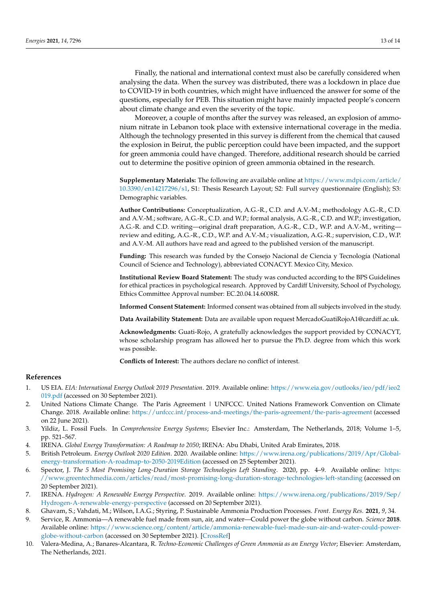Finally, the national and international context must also be carefully considered when analysing the data. When the survey was distributed, there was a lockdown in place due to COVID-19 in both countries, which might have influenced the answer for some of the questions, especially for PEB. This situation might have mainly impacted people's concern about climate change and even the severity of the topic.

Moreover, a couple of months after the survey was released, an explosion of ammonium nitrate in Lebanon took place with extensive international coverage in the media. Although the technology presented in this survey is different from the chemical that caused the explosion in Beirut, the public perception could have been impacted, and the support for green ammonia could have changed. Therefore, additional research should be carried out to determine the positive opinion of green ammonia obtained in the research.

**Supplementary Materials:** The following are available online at [https://www.mdpi.com/article/](https://www.mdpi.com/article/10.3390/en14217296/s1) [10.3390/en14217296/s1,](https://www.mdpi.com/article/10.3390/en14217296/s1) S1: Thesis Research Layout; S2: Full survey questionnaire (English); S3: Demographic variables.

**Author Contributions:** Conceptualization, A.G.-R., C.D. and A.V.-M.; methodology A.G.-R., C.D. and A.V.-M.; software, A.G.-R., C.D. and W.P.; formal analysis, A.G.-R., C.D. and W.P.; investigation, A.G.-R. and C.D. writing—original draft preparation, A.G.-R., C.D., W.P. and A.V.-M., writing review and editing, A.G.-R., C.D., W.P. and A.V.-M.; visualization, A.G.-R.; supervision, C.D., W.P. and A.V.-M. All authors have read and agreed to the published version of the manuscript.

**Funding:** This research was funded by the Consejo Nacional de Ciencia y Tecnología (National Council of Science and Technology), abbreviated CONACYT. Mexico City, Mexico.

**Institutional Review Board Statement:** The study was conducted according to the BPS Guidelines for ethical practices in psychological research. Approved by Cardiff University, School of Psychology, Ethics Committee Approval number: EC.20.04.14.6008R.

**Informed Consent Statement:** Informed consent was obtained from all subjects involved in the study.

Data Availability Statement: Data are available upon request MercadoGuatiRojoA1@cardiff.ac.uk.

**Acknowledgments:** Guati-Rojo, A gratefully acknowledges the support provided by CONACYT, whose scholarship program has allowed her to pursue the Ph.D. degree from which this work was possible.

**Conflicts of Interest:** The authors declare no conflict of interest.

#### **References**

- <span id="page-12-0"></span>1. US EIA. *EIA: International Energy Outlook 2019 Presentation*. 2019. Available online: [https://www.eia.gov/outlooks/ieo/pdf/ieo2](https://www.eia.gov/outlooks/ieo/pdf/ieo2019.pdf) [019.pdf](https://www.eia.gov/outlooks/ieo/pdf/ieo2019.pdf) (accessed on 30 September 2021).
- <span id="page-12-1"></span>2. United Nations Climate Change. The Paris Agreement | UNFCCC. United Nations Framework Convention on Climate Change. 2018. Available online: <https://unfccc.int/process-and-meetings/the-paris-agreement/the-paris-agreement> (accessed on 22 June 2021).
- <span id="page-12-2"></span>3. Yildiz, L. Fossil Fuels. In *Comprehensive Energy Systems*; Elsevier Inc.: Amsterdam, The Netherlands, 2018; Volume 1–5, pp. 521–567.
- <span id="page-12-3"></span>4. IRENA. *Global Energy Transformation: A Roadmap to 2050*; IRENA: Abu Dhabi, United Arab Emirates, 2018.
- <span id="page-12-4"></span>5. British Petroleum. *Energy Outlook 2020 Edition*. 2020. Available online: [https://www.irena.org/publications/2019/Apr/Global](https://www.irena.org/publications/2019/Apr/Global-energy-transformation-A-roadmap-to-2050-2019Edition)[energy-transformation-A-roadmap-to-2050-2019Edition](https://www.irena.org/publications/2019/Apr/Global-energy-transformation-A-roadmap-to-2050-2019Edition) (accessed on 25 September 2021).
- <span id="page-12-5"></span>6. Spector, J. *The 5 Most Promising Long-Duration Storage Technologies Left Standing*. 2020, pp. 4–9. Available online: [https:](https://www.greentechmedia.com/articles/read/most-promising-long-duration-storage-technologies-left-standing) [//www.greentechmedia.com/articles/read/most-promising-long-duration-storage-technologies-left-standing](https://www.greentechmedia.com/articles/read/most-promising-long-duration-storage-technologies-left-standing) (accessed on 20 September 2021).
- <span id="page-12-6"></span>7. IRENA. *Hydrogen: A Renewable Energy Perspective*. 2019. Available online: [https://www.irena.org/publications/2019/Sep/](https://www.irena.org/publications/2019/Sep/Hydrogen-A-renewable-energy-perspective) [Hydrogen-A-renewable-energy-perspective](https://www.irena.org/publications/2019/Sep/Hydrogen-A-renewable-energy-perspective) (accessed on 20 September 2021).
- <span id="page-12-7"></span>8. Ghavam, S.; Vahdati, M.; Wilson, I.A.G.; Styring, P. Sustainable Ammonia Production Processes. *Front. Energy Res.* **2021**, *9*, 34.
- <span id="page-12-8"></span>9. Service, R. Ammonia—A renewable fuel made from sun, air, and water—Could power the globe without carbon. *Science* **2018**. Available online: [https://www.science.org/content/article/ammonia-renewable-fuel-made-sun-air-and-water-could-power](https://www.science.org/content/article/ammonia-renewable-fuel-made-sun-air-and-water-could-power-globe-without-carbon)[globe-without-carbon](https://www.science.org/content/article/ammonia-renewable-fuel-made-sun-air-and-water-could-power-globe-without-carbon) (accessed on 30 September 2021). [\[CrossRef\]](http://doi.org/10.1126/science.aau7489)
- <span id="page-12-9"></span>10. Valera-Medina, A.; Banares-Alcantara, R. *Techno-Economic Challenges of Green Ammonia as an Energy Vector*; Elsevier: Amsterdam, The Netherlands, 2021.